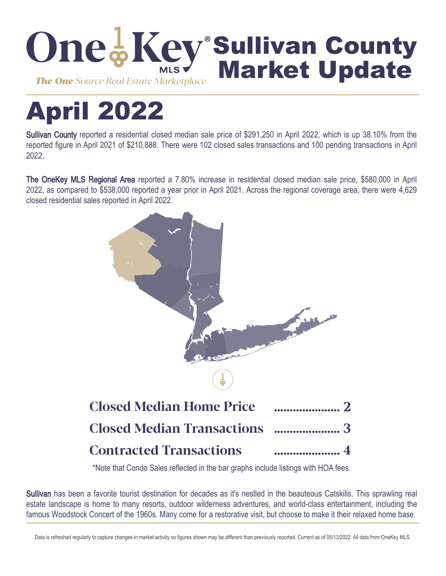

# April 2022

Sullivan County reported a residential closed median sale price of \$291,250 in April 2022, which is up 38.10% from the reported figure in April 2021 of \$210,888. There were 102 closed sales transactions and 100 pending transactions in April 2022.

The OneKey MLS Regional Area reported a 7.80% increase in residential closed median sale price, \$580,000 in April 2022, as compared to \$538,000 reported a year prior in April 2021. Across the regional coverage area, there were 4,629 closed residential sales reported in April 2022.



\*Note that Condo Sales reflected in the bar graphs include listings with HOA fees.

Sullivan has been a favorite tourist destination for decades as it's nestled in the beauteous Catskills. This sprawling real estate landscape is home to many resorts, outdoor wilderness adventures, and world-class entertainment, including the famous Woodstock Concert of the 1960s. Many come for a restorative visit, but choose to make it their relaxed home base.

Data is refreshed regularly to capture changes in market activity so figures shown may be different than previously reported. Current as of 05/13/2022. All data from OneKey MLS.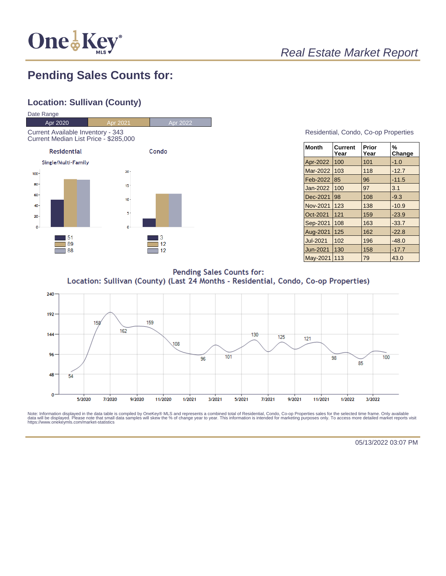

# Real Estate Market Report

## **Pending Sales Counts for:**

## **Location: Sullivan (County)**



#### Residential, Condo, Co-op Properties

| <b>Month</b>    | <b>Current</b><br>Year | Prior<br>Year | %<br>Change |
|-----------------|------------------------|---------------|-------------|
| Apr-2022        | 100                    | 101           | $-1.0$      |
| Mar-2022        | 103                    | 118           | $-12.7$     |
| Feb-2022        | 85                     | 96            | $-11.5$     |
| Jan-2022        | 100                    | 97            | 3.1         |
| Dec-2021        | 98                     | 108           | $-9.3$      |
| <b>Nov-2021</b> | 123                    | 138           | $-10.9$     |
| Oct-2021        | 121                    | 159           | $-23.9$     |
| Sep-2021        | 108                    | 163           | $-33.7$     |
| Aug-2021        | 125                    | 162           | $-22.8$     |
| <b>Jul-2021</b> | 102                    | 196           | $-48.0$     |
| Jun-2021        | 130                    | 158           | $-17.7$     |
| <b>May-2021</b> | 113                    | 79            | 43.0        |

**Pending Sales Counts for:** Location: Sullivan (County) (Last 24 Months - Residential, Condo, Co-op Properties)



Note: Information displayed in the data table is compiled by OneKey® MLS and represents a combined total of Residential, Condo, Co-op Properties sales for the selected time frame. Only available<br>data will be displayed. Pl

05/13/2022 03:07 PM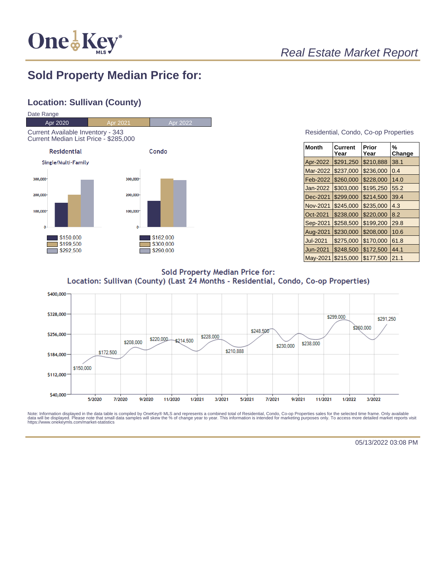

# Real Estate Market Report

## **Sold Property Median Price for:**

## **Location: Sullivan (County)**



#### Residential, Condo, Co-op Properties

| Month    | Current<br>Year | Prior<br>Year | %<br>Change |
|----------|-----------------|---------------|-------------|
| Apr-2022 | \$291,250       | \$210,888     | 38.1        |
| Mar-2022 | \$237,000       | \$236,000     | 0.4         |
| Feb-2022 | \$260,000       | \$228,000     | 14.0        |
| Jan-2022 | \$303,000       | \$195,250     | 55.2        |
| Dec-2021 | \$299,000       | \$214,500     | 39.4        |
| Nov-2021 | \$245.000       | \$235,000     | 4.3         |
| Oct-2021 | \$238,000       | \$220,000     | 8.2         |
| Sep-2021 | \$258,500       | \$199,200     | 29.8        |
| Aug-2021 | \$230,000       | \$208,000     | 10.6        |
| Jul-2021 | \$275,000       | \$170,000     | 61.8        |
| Jun-2021 | \$248,500       | \$172,500     | 44.1        |
| May-2021 | \$215,000       | \$177,500     | 21.1        |

**Sold Property Median Price for:** Location: Sullivan (County) (Last 24 Months - Residential, Condo, Co-op Properties)



Note: Information displayed in the data table is compiled by OneKey® MLS and represents a combined total of Residential, Condo, Co-op Properties sales for the selected time frame. Only available<br>data will be displayed. Pl

05/13/2022 03:08 PM